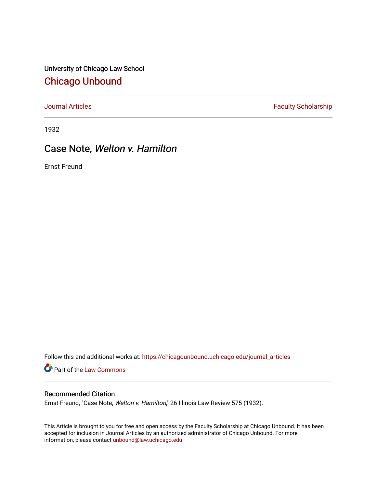University of Chicago Law School [Chicago Unbound](https://chicagounbound.uchicago.edu/)

[Journal Articles](https://chicagounbound.uchicago.edu/journal_articles) **Faculty Scholarship Faculty Scholarship** 

1932

## Case Note, Welton v. Hamilton

Ernst Freund

Follow this and additional works at: [https://chicagounbound.uchicago.edu/journal\\_articles](https://chicagounbound.uchicago.edu/journal_articles?utm_source=chicagounbound.uchicago.edu%2Fjournal_articles%2F7835&utm_medium=PDF&utm_campaign=PDFCoverPages) 

Part of the [Law Commons](http://network.bepress.com/hgg/discipline/578?utm_source=chicagounbound.uchicago.edu%2Fjournal_articles%2F7835&utm_medium=PDF&utm_campaign=PDFCoverPages)

## Recommended Citation

Ernst Freund, "Case Note, Welton v. Hamilton," 26 Illinois Law Review 575 (1932).

This Article is brought to you for free and open access by the Faculty Scholarship at Chicago Unbound. It has been accepted for inclusion in Journal Articles by an authorized administrator of Chicago Unbound. For more information, please contact [unbound@law.uchicago.edu](mailto:unbound@law.uchicago.edu).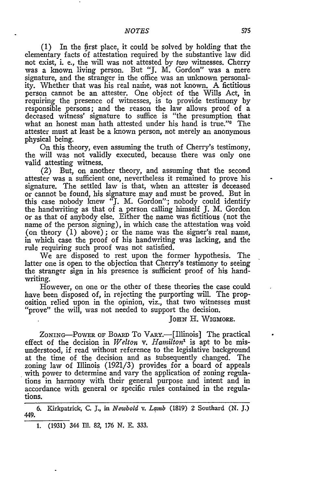(1) In the first place, it could be solved by holding that the elementary facts of attestation required by the substantive law did not exist, i. e., the will was not attested by *two* witnesses. Cherry was a known living person. But "J. M. Gordon" was a mere signature, and the stranger in the office was an unknown personality. Whether that was his real name, was not known. A fictitious person cannot be an attester. One object of the Wills Act, in requiring the presence of witnesses, is to provide testimony by responsible persons; and the reason the law allows proof of a deceased witness' signature to suffice is "the presumption that what an honest man hath attested under his hand is true."<sup>6</sup> The attester must at least be a known person, not merely an anonymous physical being.

On this theory, even assuming the truth of Cherry's testimony, the will was not validly executed, because there was only one valid attesting witness.

(2) But, on another theory, and assuming that the second attester was a sufficient one, nevertheless it remained to prove his signature. The settled law is that, when an attester is deceased or cannot be found, his signature may and must be proved. But in this case nobody knew "J. M. Gordon"; nobody could identify the handwriting as that of a person calling himself J. M. Gordon or as that of anybody else. Either the name was fictitious (not the name of the person signing), in which case the attestation was void (on theory (1) above); or the name was the signer's real name, in which case the proof of his handwriting was lacking, and the rule requiring such proof was not satisfied.

We are disposed to rest upon the former hypothesis. The latter one is open to the objection that Cherry's testimony to seeing the stranger sign in his presence is sufficient proof of his handwriting.

However, on one or the other of these theories the case could have been disposed of, in rejecting the purporting will. The proposition relied upon in the opinion, viz., that two witnesses must "prove" the will, was not needed to support the decision.

**JoHN** H. **WIGMORE.**

ZONING-POWER OF BOARD TO VARY.-[Illinois] The practical effect of the decision in *Welton v. Hamilton'* is apt to be misunderstood, if read without reference to the legislative background at the time of the decision and as subsequently changed. The zoning law of Illinois (1921/3) provides for a board of appeals with power to determine and vary the application of zoning regulations in harmony with their general purpose and intent and in accordance with general or specific rules contained in the regulations.

**6.** Kirkpatrick, **C. J.,** in *Newbold v. Lamb* (1819) 2 Southard **(N. J.)** 449.

1. **(1931)** 344 Ill. 82, 176 *N.* E. 333.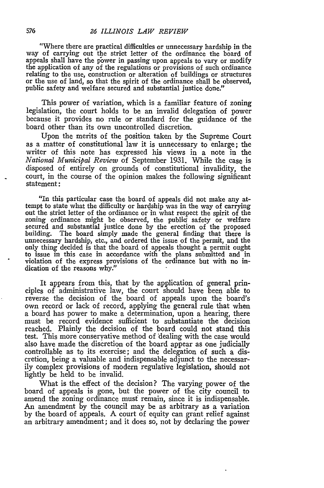"Where there are practical difficulties or unnecessary hardship in the way of carrying out the strict letter of the ordinance the board of appeals shall have the power in passing upon appeals to vary or modify the application of any of the regulations or provisions of such ordinance relating to the use, construction or alteration of buildings or structures or the use of land, so that the spirit of the ordinance shall be observed, public safety and welfare secured and substantial justice done."

This power of variation, which is a familiar feature of zoning legislation, the court holds to be an invalid delegation of power because it provides no rule or standard for the guidance of the board other than its own uncontrolled discretion.

Upon the merits of the position taken by the Supreme Court as a matter of constitutional law it is unnecessary to enlarge; the writer of this note has expressed his views in a note in the *National Municipal Review* of September 1931. While the case is disposed of entirely on grounds of constitutional invalidity, the court, in the course of the opinion makes the following significant statement:

"In this particular case the board of appeals did not make any attempt to state what the difficulty or hardship was in the way of carrying out the strict letter of the ordinance or in what respect the spirit of the zoning ordinance might be observed, the public safety or welfare secured and substantial justice done by the erection of the proposed building. The board simply made the general finding that there is unnecessary hardship, etc., and ordered the issue of the permit, and the only thing decided is that the board of appeals thought a permit ought to issue in this case in accordance with the plans submitted and in violation of the express provisions of the ordinance but with no indication of the reasons why."

It appears from this, that by the application of general principles of administrative law, the court should have been able to reverse the decision of the board of appeals upon the board's own record or lack of record, applying the general rule that when a board has power to make a determination, upon a hearing, there must be record evidence sufficient to substantiate the decision reached. Plainly the decision of the board could not stand this test. This more conservative method of 'dealing with the case would also have made the discretion of the board appear as one judicially controllable as to its exercise; and the delegation of such a discretion, being a valuable and indispensable adjunct to the necessarily complex provisions of modern regulative legislation, should not lightly be held to be invalid.

What is the effect of the decision? The varying power of the board of appeals is gone, but the power of the city council to amend the zoning ordinance must remain, since it is indispensable. An amendment by the council may be as arbitrary as a variation by the board of appeals. A court of equity can grant relief against an arbitrary amendment; and it does so, not by declaring the power

576